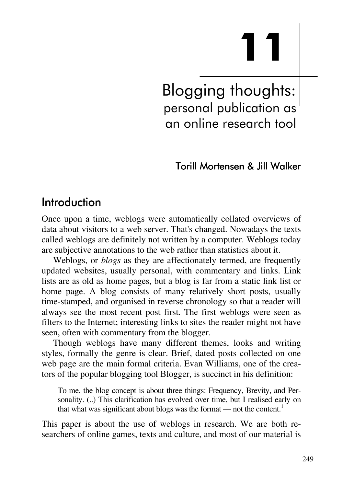# **11**

Blogging thoughts: personal publication as an online research tool

## Torill Mortensen & Jill Walker

## Introduction

Once upon a time, weblogs were automatically collated overviews of data about visitors to a web server. That's changed. Nowadays the texts called weblogs are definitely not written by a computer. Weblogs today are subjective annotations to the web rather than statistics about it.

Weblogs, or *blogs* as they are affectionately termed, are frequently updated websites, usually personal, with commentary and links. Link lists are as old as home pages, but a blog is far from a static link list or home page. A blog consists of many relatively short posts, usually time-stamped, and organised in reverse chronology so that a reader will always see the most recent post first. The first weblogs were seen as filters to the Internet; interesting links to sites the reader might not have seen, often with commentary from the blogger.

Though weblogs have many different themes, looks and writing styles, formally the genre is clear. Brief, dated posts collected on one web page are the main formal criteria. Evan Williams, one of the creators of the popular blogging tool Blogger, is succinct in his definition:

To me, the blog concept is about three things: Frequency, Brevity, and Personality. (..) This clarification has evolved over time, but I realised early on that what was significant about blogs was the format — not the content.<sup>1</sup>

This paper is about the use of weblogs in research. We are both researchers of online games, texts and culture, and most of our material is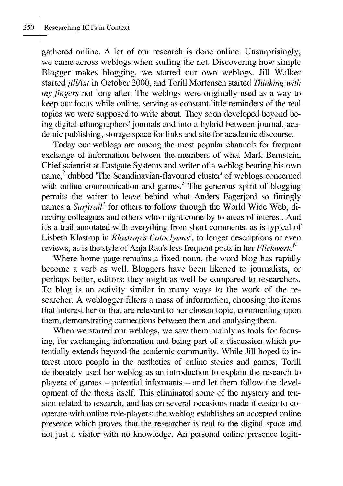gathered online. A lot of our research is done online. Unsurprisingly, we came across weblogs when surfing the net. Discovering how simple Blogger makes blogging, we started our own weblogs. Jill Walker started *jill/txt* in October 2000, and Torill Mortensen started *Thinking with my fingers* not long after. The weblogs were originally used as a way to keep our focus while online, serving as constant little reminders of the real topics we were supposed to write about. They soon developed beyond being digital ethnographers' journals and into a hybrid between journal, academic publishing, storage space for links and site for academic discourse.

Today our weblogs are among the most popular channels for frequent exchange of information between the members of what Mark Bernstein, Chief scientist at Eastgate Systems and writer of a weblog bearing his own name,<sup>2</sup> dubbed 'The Scandinavian-flavoured cluster' of weblogs concerned with online communication and games.<sup>3</sup> The generous spirit of blogging permits the writer to leave behind what Anders Fagerjord so fittingly names a *Surftrail*<sup>4</sup> for others to follow through the World Wide Web, directing colleagues and others who might come by to areas of interest. And it's a trail annotated with everything from short comments, as is typical of Lisbeth Klastrup in *Klastrup's Cataclysms<sup>5</sup>*, to longer descriptions or even reviews, as is the style of Anja Rau's less frequent posts in her *Flickwerk.6*

Where home page remains a fixed noun, the word blog has rapidly become a verb as well. Bloggers have been likened to journalists, or perhaps better, editors; they might as well be compared to researchers. To blog is an activity similar in many ways to the work of the researcher. A weblogger filters a mass of information, choosing the items that interest her or that are relevant to her chosen topic, commenting upon them, demonstrating connections between them and analysing them.

When we started our weblogs, we saw them mainly as tools for focusing, for exchanging information and being part of a discussion which potentially extends beyond the academic community. While Jill hoped to interest more people in the aesthetics of online stories and games, Torill deliberately used her weblog as an introduction to explain the research to players of games – potential informants – and let them follow the development of the thesis itself. This eliminated some of the mystery and tension related to research, and has on several occasions made it easier to cooperate with online role-players: the weblog establishes an accepted online presence which proves that the researcher is real to the digital space and not just a visitor with no knowledge. An personal online presence legiti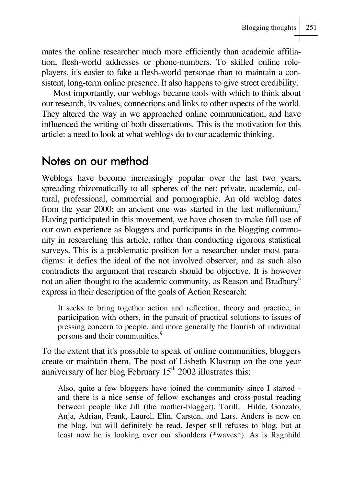mates the online researcher much more efficiently than academic affiliation, flesh-world addresses or phone-numbers. To skilled online roleplayers, it's easier to fake a flesh-world personae than to maintain a consistent, long-term online presence. It also happens to give street credibility.

Most importantly, our weblogs became tools with which to think about our research, its values, connections and links to other aspects of the world. They altered the way in we approached online communication, and have influenced the writing of both dissertations. This is the motivation for this article: a need to look at what weblogs do to our academic thinking.

## Notes on our method

Weblogs have become increasingly popular over the last two years, spreading rhizomatically to all spheres of the net: private, academic, cultural, professional, commercial and pornographic. An old weblog dates from the year 2000; an ancient one was started in the last millennium.<sup>7</sup> Having participated in this movement, we have chosen to make full use of our own experience as bloggers and participants in the blogging community in researching this article, rather than conducting rigorous statistical surveys. This is a problematic position for a researcher under most paradigms: it defies the ideal of the not involved observer, and as such also contradicts the argument that research should be objective. It is however not an alien thought to the academic community, as Reason and Bradbury<sup>8</sup> express in their description of the goals of Action Research:

It seeks to bring together action and reflection, theory and practice, in participation with others, in the pursuit of practical solutions to issues of pressing concern to people, and more generally the flourish of individual persons and their communities.<sup>9</sup>

To the extent that it's possible to speak of online communities, bloggers create or maintain them. The post of Lisbeth Klastrup on the one year anniversary of her blog February  $15<sup>th</sup>$  2002 illustrates this:

Also, quite a few bloggers have joined the community since I started and there is a nice sense of fellow exchanges and cross-postal reading between people like Jill (the mother-blogger), Torill, Hilde, Gonzalo, Anja, Adrian, Frank, Laurel, Elin, Carsten, and Lars. Anders is new on the blog, but will definitely be read. Jesper still refuses to blog, but at least now he is looking over our shoulders (\*waves\*). As is Ragnhild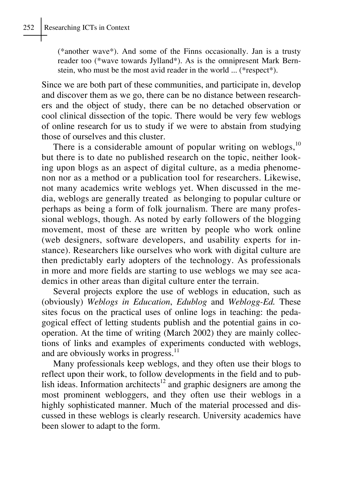(\*another wave\*). And some of the Finns occasionally. Jan is a trusty reader too (\*wave towards Jylland\*). As is the omnipresent Mark Bernstein, who must be the most avid reader in the world ... (\*respect\*).

Since we are both part of these communities, and participate in, develop and discover them as we go, there can be no distance between researchers and the object of study, there can be no detached observation or cool clinical dissection of the topic. There would be very few weblogs of online research for us to study if we were to abstain from studying those of ourselves and this cluster.

There is a considerable amount of popular writing on weblogs, $10$ but there is to date no published research on the topic, neither looking upon blogs as an aspect of digital culture, as a media phenomenon nor as a method or a publication tool for researchers. Likewise, not many academics write weblogs yet. When discussed in the media, weblogs are generally treated as belonging to popular culture or perhaps as being a form of folk journalism. There are many professional weblogs, though. As noted by early followers of the blogging movement, most of these are written by people who work online (web designers, software developers, and usability experts for instance). Researchers like ourselves who work with digital culture are then predictably early adopters of the technology. As professionals in more and more fields are starting to use weblogs we may see academics in other areas than digital culture enter the terrain.

Several projects explore the use of weblogs in education, such as (obviously) *Weblogs in Education*, *Edublog* and *Weblogg-Ed.* These sites focus on the practical uses of online logs in teaching: the pedagogical effect of letting students publish and the potential gains in cooperation. At the time of writing (March 2002) they are mainly collections of links and examples of experiments conducted with weblogs, and are obviously works in progress. $<sup>11</sup>$ </sup>

Many professionals keep weblogs, and they often use their blogs to reflect upon their work, to follow developments in the field and to publish ideas. Information architects<sup>12</sup> and graphic designers are among the most prominent webloggers, and they often use their weblogs in a highly sophisticated manner. Much of the material processed and discussed in these weblogs is clearly research. University academics have been slower to adapt to the form.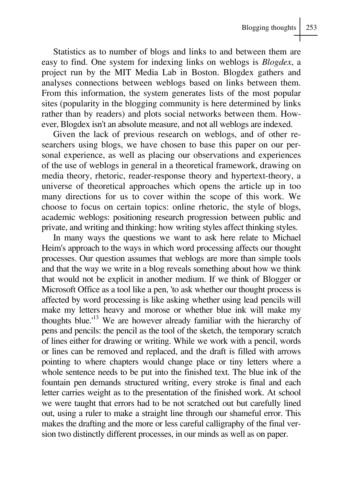Statistics as to number of blogs and links to and between them are easy to find. One system for indexing links on weblogs is *Blogdex*, a project run by the MIT Media Lab in Boston. Blogdex gathers and analyses connections between weblogs based on links between them. From this information, the system generates lists of the most popular sites (popularity in the blogging community is here determined by links rather than by readers) and plots social networks between them. However, Blogdex isn't an absolute measure, and not all weblogs are indexed.

Given the lack of previous research on weblogs, and of other researchers using blogs, we have chosen to base this paper on our personal experience, as well as placing our observations and experiences of the use of weblogs in general in a theoretical framework, drawing on media theory, rhetoric, reader-response theory and hypertext-theory, a universe of theoretical approaches which opens the article up in too many directions for us to cover within the scope of this work. We choose to focus on certain topics: online rhetoric, the style of blogs, academic weblogs: positioning research progression between public and private, and writing and thinking: how writing styles affect thinking styles.

In many ways the questions we want to ask here relate to Michael Heim's approach to the ways in which word processing affects our thought processes. Our question assumes that weblogs are more than simple tools and that the way we write in a blog reveals something about how we think that would not be explicit in another medium. If we think of Blogger or Microsoft Office as a tool like a pen, 'to ask whether our thought process is affected by word processing is like asking whether using lead pencils will make my letters heavy and morose or whether blue ink will make my thoughts blue.'13 We are however already familiar with the hierarchy of pens and pencils: the pencil as the tool of the sketch, the temporary scratch of lines either for drawing or writing. While we work with a pencil, words or lines can be removed and replaced, and the draft is filled with arrows pointing to where chapters would change place or tiny letters where a whole sentence needs to be put into the finished text. The blue ink of the fountain pen demands structured writing, every stroke is final and each letter carries weight as to the presentation of the finished work. At school we were taught that errors had to be not scratched out but carefully lined out, using a ruler to make a straight line through our shameful error. This makes the drafting and the more or less careful calligraphy of the final version two distinctly different processes, in our minds as well as on paper.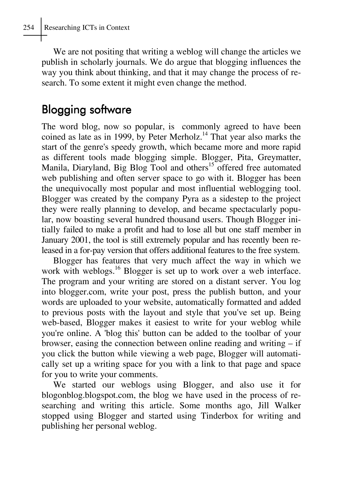We are not positing that writing a weblog will change the articles we publish in scholarly journals. We do argue that blogging influences the way you think about thinking, and that it may change the process of research. To some extent it might even change the method.

# Blogging software

The word blog, now so popular, is commonly agreed to have been coined as late as in 1999, by Peter Merholz.<sup>14</sup> That year also marks the start of the genre's speedy growth, which became more and more rapid as different tools made blogging simple. Blogger, Pita, Greymatter, Manila, Diaryland, Big Blog Tool and others<sup>15</sup> offered free automated web publishing and often server space to go with it. Blogger has been the unequivocally most popular and most influential weblogging tool. Blogger was created by the company Pyra as a sidestep to the project they were really planning to develop, and became spectacularly popular, now boasting several hundred thousand users. Though Blogger initially failed to make a profit and had to lose all but one staff member in January 2001, the tool is still extremely popular and has recently been released in a for-pay version that offers additional features to the free system.

Blogger has features that very much affect the way in which we work with weblogs.<sup>16</sup> Blogger is set up to work over a web interface. The program and your writing are stored on a distant server. You log into blogger.com, write your post, press the publish button, and your words are uploaded to your website, automatically formatted and added to previous posts with the layout and style that you've set up. Being web-based, Blogger makes it easiest to write for your weblog while you're online. A 'blog this' button can be added to the toolbar of your browser, easing the connection between online reading and writing – if you click the button while viewing a web page, Blogger will automatically set up a writing space for you with a link to that page and space for you to write your comments.

We started our weblogs using Blogger, and also use it for blogonblog.blogspot.com, the blog we have used in the process of researching and writing this article. Some months ago, Jill Walker stopped using Blogger and started using Tinderbox for writing and publishing her personal weblog.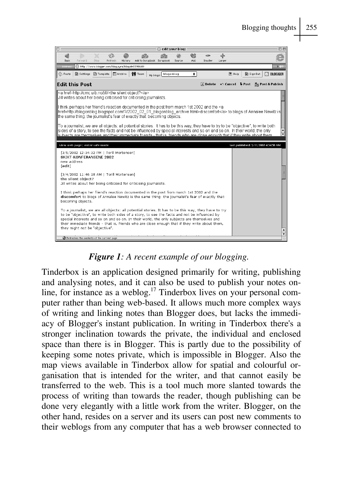

*Figure 1: A recent example of our blogging.*

Tinderbox is an application designed primarily for writing, publishing and analysing notes, and it can also be used to publish your notes online, for instance as a weblog.<sup>17</sup> Tinderbox lives on your personal computer rather than being web-based. It allows much more complex ways of writing and linking notes than Blogger does, but lacks the immediacy of Blogger's instant publication. In writing in Tinderbox there's a stronger inclination towards the private, the individual and enclosed space than there is in Blogger. This is partly due to the possibility of keeping some notes private, which is impossible in Blogger. Also the map views available in Tinderbox allow for spatial and colourful organisation that is intended for the writer, and that cannot easily be transferred to the web. This is a tool much more slanted towards the process of writing than towards the reader, though publishing can be done very elegantly with a little work from the writer. Blogger, on the other hand, resides on a server and its users can post new comments to their weblogs from any computer that has a web browser connected to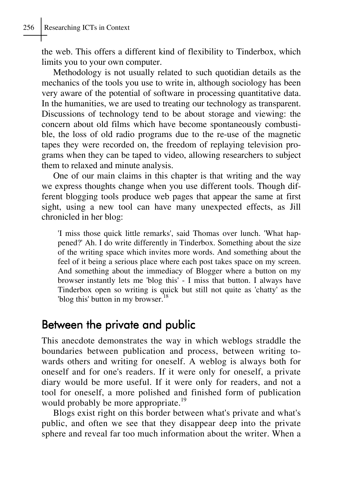the web. This offers a different kind of flexibility to Tinderbox, which limits you to your own computer.

Methodology is not usually related to such quotidian details as the mechanics of the tools you use to write in, although sociology has been very aware of the potential of software in processing quantitative data. In the humanities, we are used to treating our technology as transparent. Discussions of technology tend to be about storage and viewing: the concern about old films which have become spontaneously combustible, the loss of old radio programs due to the re-use of the magnetic tapes they were recorded on, the freedom of replaying television programs when they can be taped to video, allowing researchers to subject them to relaxed and minute analysis.

One of our main claims in this chapter is that writing and the way we express thoughts change when you use different tools. Though different blogging tools produce web pages that appear the same at first sight, using a new tool can have many unexpected effects, as Jill chronicled in her blog:

'I miss those quick little remarks', said Thomas over lunch. 'What happened?' Ah. I do write differently in Tinderbox. Something about the size of the writing space which invites more words. And something about the feel of it being a serious place where each post takes space on my screen. And something about the immediacy of Blogger where a button on my browser instantly lets me 'blog this' - I miss that button. I always have Tinderbox open so writing is quick but still not quite as 'chatty' as the 'blog this' button in my browser.<sup>18</sup>

## Between the private and public

This anecdote demonstrates the way in which weblogs straddle the boundaries between publication and process, between writing towards others and writing for oneself. A weblog is always both for oneself and for one's readers. If it were only for oneself, a private diary would be more useful. If it were only for readers, and not a tool for oneself, a more polished and finished form of publication would probably be more appropriate.<sup>19</sup>

Blogs exist right on this border between what's private and what's public, and often we see that they disappear deep into the private sphere and reveal far too much information about the writer. When a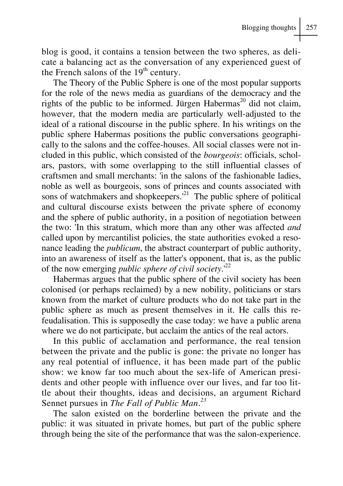blog is good, it contains a tension between the two spheres, as delicate a balancing act as the conversation of any experienced guest of the French salons of the  $19<sup>th</sup>$  century.

The Theory of the Public Sphere is one of the most popular supports for the role of the news media as guardians of the democracy and the rights of the public to be informed. Jürgen Habermas<sup>20</sup> did not claim, however, that the modern media are particularly well-adjusted to the ideal of a rational discourse in the public sphere. In his writings on the public sphere Habermas positions the public conversations geographically to the salons and the coffee-houses. All social classes were not included in this public, which consisted of the *bourgeois*: officials, scholars, pastors, with some overlapping to the still influential classes of craftsmen and small merchants: 'in the salons of the fashionable ladies, noble as well as bourgeois, sons of princes and counts associated with sons of watchmakers and shopkeepers. $^{21}$  The public sphere of political and cultural discourse exists between the private sphere of economy and the sphere of public authority, in a position of negotiation between the two: 'In this stratum, which more than any other was affected *and* called upon by mercantilist policies, the state authorities evoked a resonance leading the *publicum*, the abstract counterpart of public authority, into an awareness of itself as the latter's opponent, that is, as the public of the now emerging *public sphere of civil society*.'<sup>22</sup>

Habermas argues that the public sphere of the civil society has been colonised (or perhaps reclaimed) by a new nobility, politicians or stars known from the market of culture products who do not take part in the public sphere as much as present themselves in it. He calls this refeudalisation. This is supposedly the case today: we have a public arena where we do not participate, but acclaim the antics of the real actors.

In this public of acclamation and performance, the real tension between the private and the public is gone: the private no longer has any real potential of influence, it has been made part of the public show: we know far too much about the sex-life of American presidents and other people with influence over our lives, and far too little about their thoughts, ideas and decisions, an argument Richard Sennet pursues in *The Fall of Public Man*. *23*

The salon existed on the borderline between the private and the public: it was situated in private homes, but part of the public sphere through being the site of the performance that was the salon-experience.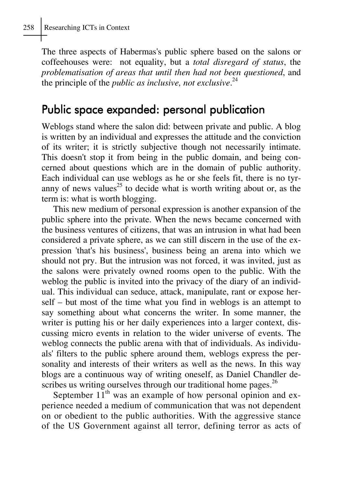The three aspects of Habermas's public sphere based on the salons or coffeehouses were: not equality, but a *total disregard of status*, the *problematisation of areas that until then had not been questioned*, and the principle of the *public as inclusive, not exclusive*. 24

## Public space expanded: personal publication

Weblogs stand where the salon did: between private and public. A blog is written by an individual and expresses the attitude and the conviction of its writer; it is strictly subjective though not necessarily intimate. This doesn't stop it from being in the public domain, and being concerned about questions which are in the domain of public authority. Each individual can use weblogs as he or she feels fit, there is no tyranny of news values<sup>25</sup> to decide what is worth writing about or, as the term is: what is worth blogging.

This new medium of personal expression is another expansion of the public sphere into the private. When the news became concerned with the business ventures of citizens, that was an intrusion in what had been considered a private sphere, as we can still discern in the use of the expression 'that's his business', business being an arena into which we should not pry. But the intrusion was not forced, it was invited, just as the salons were privately owned rooms open to the public. With the weblog the public is invited into the privacy of the diary of an individual. This individual can seduce, attack, manipulate, rant or expose herself – but most of the time what you find in weblogs is an attempt to say something about what concerns the writer. In some manner, the writer is putting his or her daily experiences into a larger context, discussing micro events in relation to the wider universe of events. The weblog connects the public arena with that of individuals. As individuals' filters to the public sphere around them, weblogs express the personality and interests of their writers as well as the news. In this way blogs are a continuous way of writing oneself, as Daniel Chandler describes us writing ourselves through our traditional home pages.  $^{26}$ 

September  $11<sup>th</sup>$  was an example of how personal opinion and experience needed a medium of communication that was not dependent on or obedient to the public authorities. With the aggressive stance of the US Government against all terror, defining terror as acts of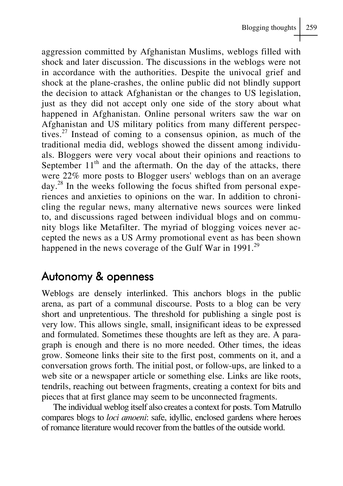aggression committed by Afghanistan Muslims, weblogs filled with shock and later discussion. The discussions in the weblogs were not in accordance with the authorities. Despite the univocal grief and shock at the plane-crashes, the online public did not blindly support the decision to attack Afghanistan or the changes to US legislation, just as they did not accept only one side of the story about what happened in Afghanistan. Online personal writers saw the war on Afghanistan and US military politics from many different perspectives. $27$  Instead of coming to a consensus opinion, as much of the traditional media did, weblogs showed the dissent among individuals. Bloggers were very vocal about their opinions and reactions to September  $11<sup>th</sup>$  and the aftermath. On the day of the attacks, there were 22% more posts to Blogger users' weblogs than on an average day.28 In the weeks following the focus shifted from personal experiences and anxieties to opinions on the war. In addition to chronicling the regular news, many alternative news sources were linked to, and discussions raged between individual blogs and on community blogs like Metafilter. The myriad of blogging voices never accepted the news as a US Army promotional event as has been shown happened in the news coverage of the Gulf War in  $1991.<sup>29</sup>$ 

## Autonomy & openness

Weblogs are densely interlinked. This anchors blogs in the public arena, as part of a communal discourse. Posts to a blog can be very short and unpretentious. The threshold for publishing a single post is very low. This allows single, small, insignificant ideas to be expressed and formulated. Sometimes these thoughts are left as they are. A paragraph is enough and there is no more needed. Other times, the ideas grow. Someone links their site to the first post, comments on it, and a conversation grows forth. The initial post, or follow-ups, are linked to a web site or a newspaper article or something else. Links are like roots, tendrils, reaching out between fragments, creating a context for bits and pieces that at first glance may seem to be unconnected fragments.

The individual weblog itself also creates a context for posts. Tom Matrullo compares blogs to *loci amoeni*: safe, idyllic, enclosed gardens where heroes of romance literature would recover from the battles of the outside world.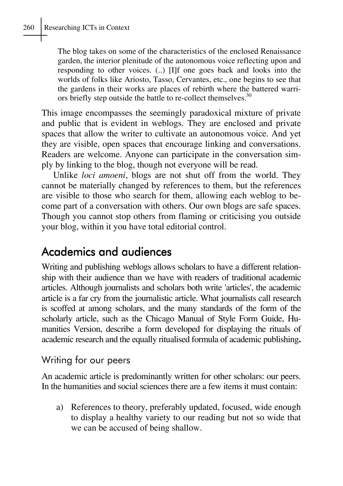The blog takes on some of the characteristics of the enclosed Renaissance garden, the interior plenitude of the autonomous voice reflecting upon and responding to other voices. (..) [I]f one goes back and looks into the worlds of folks like Ariosto, Tasso, Cervantes, etc., one begins to see that the gardens in their works are places of rebirth where the battered warriors briefly step outside the battle to re-collect themselves.<sup>30</sup>

This image encompasses the seemingly paradoxical mixture of private and public that is evident in weblogs. They are enclosed and private spaces that allow the writer to cultivate an autonomous voice. And yet they are visible, open spaces that encourage linking and conversations. Readers are welcome. Anyone can participate in the conversation simply by linking to the blog, though not everyone will be read.

Unlike *loci amoeni*, blogs are not shut off from the world. They cannot be materially changed by references to them, but the references are visible to those who search for them, allowing each weblog to become part of a conversation with others. Our own blogs are safe spaces. Though you cannot stop others from flaming or criticising you outside your blog, within it you have total editorial control.

# Academics and audiences

Writing and publishing weblogs allows scholars to have a different relationship with their audience than we have with readers of traditional academic articles. Although journalists and scholars both write 'articles', the academic article is a far cry from the journalistic article. What journalists call research is scoffed at among scholars, and the many standards of the form of the scholarly article, such as the Chicago Manual of Style Form Guide, Humanities Version, describe a form developed for displaying the rituals of academic research and the equally ritualised formula of academic publishing**.**

## Writing for our peers

An academic article is predominantly written for other scholars: our peers. In the humanities and social sciences there are a few items it must contain:

a) References to theory, preferably updated, focused, wide enough to display a healthy variety to our reading but not so wide that we can be accused of being shallow.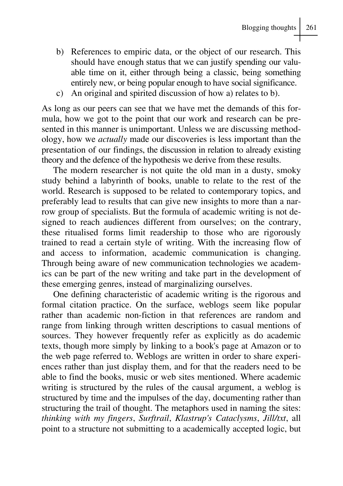- b) References to empiric data, or the object of our research. This should have enough status that we can justify spending our valuable time on it, either through being a classic, being something entirely new, or being popular enough to have social significance.
- c) An original and spirited discussion of how a) relates to b).

As long as our peers can see that we have met the demands of this formula, how we got to the point that our work and research can be presented in this manner is unimportant. Unless we are discussing methodology, how we *actually* made our discoveries is less important than the presentation of our findings, the discussion in relation to already existing theory and the defence of the hypothesis we derive from these results.

The modern researcher is not quite the old man in a dusty, smoky study behind a labyrinth of books, unable to relate to the rest of the world. Research is supposed to be related to contemporary topics, and preferably lead to results that can give new insights to more than a narrow group of specialists. But the formula of academic writing is not designed to reach audiences different from ourselves; on the contrary, these ritualised forms limit readership to those who are rigorously trained to read a certain style of writing. With the increasing flow of and access to information, academic communication is changing. Through being aware of new communication technologies we academics can be part of the new writing and take part in the development of these emerging genres, instead of marginalizing ourselves.

One defining characteristic of academic writing is the rigorous and formal citation practice. On the surface, weblogs seem like popular rather than academic non-fiction in that references are random and range from linking through written descriptions to casual mentions of sources. They however frequently refer as explicitly as do academic texts, though more simply by linking to a book's page at Amazon or to the web page referred to. Weblogs are written in order to share experiences rather than just display them, and for that the readers need to be able to find the books, music or web sites mentioned. Where academic writing is structured by the rules of the causal argument, a weblog is structured by time and the impulses of the day, documenting rather than structuring the trail of thought. The metaphors used in naming the sites: *thinking with my fingers*, *Surftrail*, *Klastrup's Cataclysms*, *Jill/txt*, all point to a structure not submitting to a academically accepted logic, but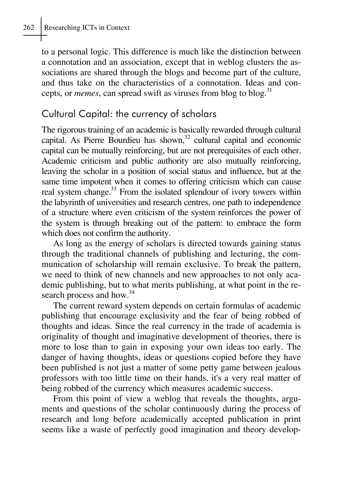#### 262 Researching ICTs in Context

to a personal logic. This difference is much like the distinction between a connotation and an association, except that in weblog clusters the associations are shared through the blogs and become part of the culture, and thus take on the characteristics of a connotation. Ideas and concepts, or *memes*, can spread swift as viruses from blog to blog.<sup>31</sup>

## Cultural Capital: the currency of scholars

The rigorous training of an academic is basically rewarded through cultural capital. As Pierre Bourdieu has shown, $32$  cultural capital and economic capital can be mutually reinforcing, but are not prerequisites of each other. Academic criticism and public authority are also mutually reinforcing, leaving the scholar in a position of social status and influence, but at the same time impotent when it comes to offering criticism which can cause real system change.<sup>33</sup> From the isolated splendour of ivory towers within the labyrinth of universities and research centres, one path to independence of a structure where even criticism of the system reinforces the power of the system is through breaking out of the pattern: to embrace the form which does not confirm the authority.

As long as the energy of scholars is directed towards gaining status through the traditional channels of publishing and lecturing, the communication of scholarship will remain exclusive. To break the pattern, we need to think of new channels and new approaches to not only academic publishing, but to what merits publishing, at what point in the research process and how.<sup>34</sup>

The current reward system depends on certain formulas of academic publishing that encourage exclusivity and the fear of being robbed of thoughts and ideas. Since the real currency in the trade of academia is originality of thought and imaginative development of theories, there is more to lose than to gain in exposing your own ideas too early. The danger of having thoughts, ideas or questions copied before they have been published is not just a matter of some petty game between jealous professors with too little time on their hands, it's a very real matter of being robbed of the currency which measures academic success.

From this point of view a weblog that reveals the thoughts, arguments and questions of the scholar continuously during the process of research and long before academically accepted publication in print seems like a waste of perfectly good imagination and theory develop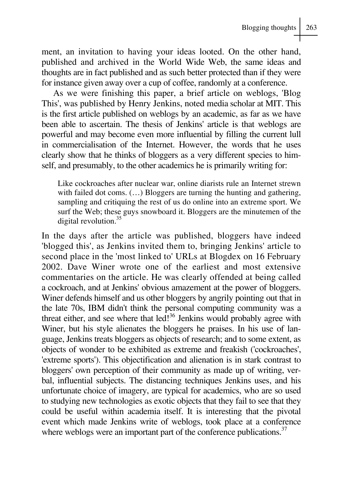ment, an invitation to having your ideas looted. On the other hand, published and archived in the World Wide Web, the same ideas and thoughts are in fact published and as such better protected than if they were for instance given away over a cup of coffee, randomly at a conference.

As we were finishing this paper, a brief article on weblogs, 'Blog This', was published by Henry Jenkins, noted media scholar at MIT. This is the first article published on weblogs by an academic, as far as we have been able to ascertain. The thesis of Jenkins' article is that weblogs are powerful and may become even more influential by filling the current lull in commercialisation of the Internet. However, the words that he uses clearly show that he thinks of bloggers as a very different species to himself, and presumably, to the other academics he is primarily writing for:

Like cockroaches after nuclear war, online diarists rule an Internet strewn with failed dot coms.  $(...)$  Bloggers are turning the hunting and gathering, sampling and critiquing the rest of us do online into an extreme sport. We surf the Web; these guys snowboard it. Bloggers are the minutemen of the digital revolution.<sup>35</sup>

In the days after the article was published, bloggers have indeed 'blogged this', as Jenkins invited them to, bringing Jenkins' article to second place in the 'most linked to' URLs at Blogdex on 16 February 2002. Dave Winer wrote one of the earliest and most extensive commentaries on the article. He was clearly offended at being called a cockroach, and at Jenkins' obvious amazement at the power of bloggers. Winer defends himself and us other bloggers by angrily pointing out that in the late 70s, IBM didn't think the personal computing community was a threat either, and see where that  $\text{led}^{1,36}$  Jenkins would probably agree with Winer, but his style alienates the bloggers he praises. In his use of language, Jenkins treats bloggers as objects of research; and to some extent, as objects of wonder to be exhibited as extreme and freakish ('cockroaches', 'extreme sports'). This objectification and alienation is in stark contrast to bloggers' own perception of their community as made up of writing, verbal, influential subjects. The distancing techniques Jenkins uses, and his unfortunate choice of imagery, are typical for academics, who are so used to studying new technologies as exotic objects that they fail to see that they could be useful within academia itself. It is interesting that the pivotal event which made Jenkins write of weblogs, took place at a conference where weblogs were an important part of the conference publications.<sup>37</sup>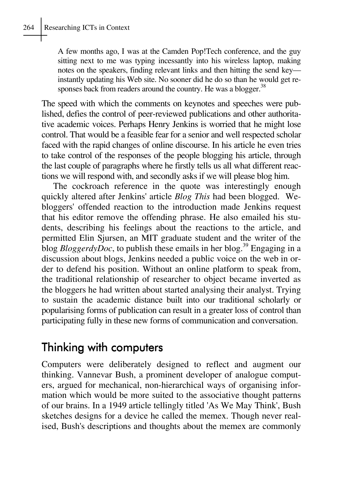A few months ago, I was at the Camden Pop!Tech conference, and the guy sitting next to me was typing incessantly into his wireless laptop, making notes on the speakers, finding relevant links and then hitting the send key instantly updating his Web site. No sooner did he do so than he would get responses back from readers around the country. He was a blogger.<sup>38</sup>

The speed with which the comments on keynotes and speeches were published, defies the control of peer-reviewed publications and other authoritative academic voices. Perhaps Henry Jenkins is worried that he might lose control. That would be a feasible fear for a senior and well respected scholar faced with the rapid changes of online discourse. In his article he even tries to take control of the responses of the people blogging his article, through the last couple of paragraphs where he firstly tells us all what different reactions we will respond with, and secondly asks if we will please blog him.

The cockroach reference in the quote was interestingly enough quickly altered after Jenkins' article *Blog This* had been blogged. Webloggers' offended reaction to the introduction made Jenkins request that his editor remove the offending phrase. He also emailed his students, describing his feelings about the reactions to the article, and permitted Elin Sjursen, an MIT graduate student and the writer of the blog *BloggerdyDoc*, to publish these emails in her blog.<sup>39</sup> Engaging in a discussion about blogs, Jenkins needed a public voice on the web in order to defend his position. Without an online platform to speak from, the traditional relationship of researcher to object became inverted as the bloggers he had written about started analysing their analyst. Trying to sustain the academic distance built into our traditional scholarly or popularising forms of publication can result in a greater loss of control than participating fully in these new forms of communication and conversation.

## Thinking with computers

Computers were deliberately designed to reflect and augment our thinking. Vannevar Bush, a prominent developer of analogue computers, argued for mechanical, non-hierarchical ways of organising information which would be more suited to the associative thought patterns of our brains. In a 1949 article tellingly titled 'As We May Think', Bush sketches designs for a device he called the memex. Though never realised, Bush's descriptions and thoughts about the memex are commonly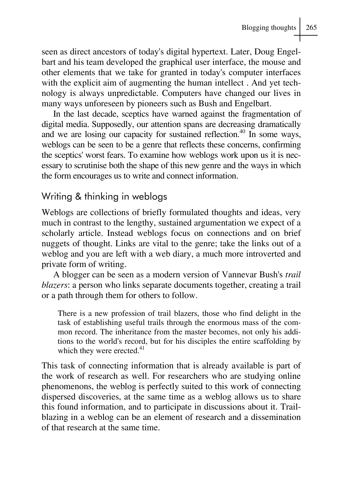seen as direct ancestors of today's digital hypertext. Later, Doug Engelbart and his team developed the graphical user interface, the mouse and other elements that we take for granted in today's computer interfaces with the explicit aim of augmenting the human intellect . And yet technology is always unpredictable. Computers have changed our lives in many ways unforeseen by pioneers such as Bush and Engelbart.

In the last decade, sceptics have warned against the fragmentation of digital media. Supposedly, our attention spans are decreasing dramatically and we are losing our capacity for sustained reflection.<sup>40</sup> In some ways, weblogs can be seen to be a genre that reflects these concerns, confirming the sceptics' worst fears. To examine how weblogs work upon us it is necessary to scrutinise both the shape of this new genre and the ways in which the form encourages us to write and connect information.

#### Writing & thinking in weblogs

Weblogs are collections of briefly formulated thoughts and ideas, very much in contrast to the lengthy, sustained argumentation we expect of a scholarly article. Instead weblogs focus on connections and on brief nuggets of thought. Links are vital to the genre; take the links out of a weblog and you are left with a web diary, a much more introverted and private form of writing.

A blogger can be seen as a modern version of Vannevar Bush's *trail blazers*: a person who links separate documents together, creating a trail or a path through them for others to follow.

There is a new profession of trail blazers, those who find delight in the task of establishing useful trails through the enormous mass of the common record. The inheritance from the master becomes, not only his additions to the world's record, but for his disciples the entire scaffolding by which they were erected.<sup>41</sup>

This task of connecting information that is already available is part of the work of research as well. For researchers who are studying online phenomenons, the weblog is perfectly suited to this work of connecting dispersed discoveries, at the same time as a weblog allows us to share this found information, and to participate in discussions about it. Trailblazing in a weblog can be an element of research and a dissemination of that research at the same time.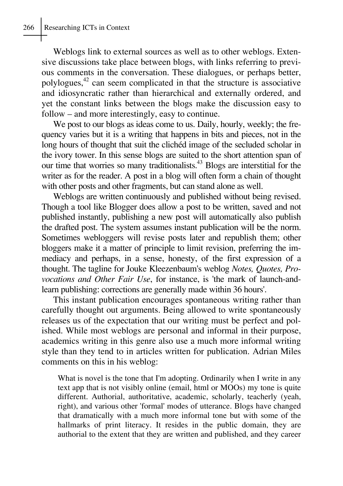Weblogs link to external sources as well as to other weblogs. Extensive discussions take place between blogs, with links referring to previous comments in the conversation. These dialogues, or perhaps better, polylogues,42 can seem complicated in that the structure is associative and idiosyncratic rather than hierarchical and externally ordered, and yet the constant links between the blogs make the discussion easy to follow – and more interestingly, easy to continue.

We post to our blogs as ideas come to us. Daily, hourly, weekly; the frequency varies but it is a writing that happens in bits and pieces, not in the long hours of thought that suit the clichéd image of the secluded scholar in the ivory tower. In this sense blogs are suited to the short attention span of our time that worries so many traditionalists.43 Blogs are interstitial for the writer as for the reader. A post in a blog will often form a chain of thought with other posts and other fragments, but can stand alone as well.

Weblogs are written continuously and published without being revised. Though a tool like Blogger does allow a post to be written, saved and not published instantly, publishing a new post will automatically also publish the drafted post. The system assumes instant publication will be the norm. Sometimes webloggers will revise posts later and republish them; other bloggers make it a matter of principle to limit revision, preferring the immediacy and perhaps, in a sense, honesty, of the first expression of a thought. The tagline for Jouke Kleezenbaum's weblog *Notes, Quotes, Provocations and Other Fair Use*, for instance, is 'the mark of launch-andlearn publishing: corrections are generally made within 36 hours'.

This instant publication encourages spontaneous writing rather than carefully thought out arguments. Being allowed to write spontaneously releases us of the expectation that our writing must be perfect and polished. While most weblogs are personal and informal in their purpose, academics writing in this genre also use a much more informal writing style than they tend to in articles written for publication. Adrian Miles comments on this in his weblog:

What is novel is the tone that I'm adopting. Ordinarily when I write in any text app that is not visibly online (email, html or MOOs) my tone is quite different. Authorial, authoritative, academic, scholarly, teacherly (yeah, right), and various other 'formal' modes of utterance. Blogs have changed that dramatically with a much more informal tone but with some of the hallmarks of print literacy. It resides in the public domain, they are authorial to the extent that they are written and published, and they career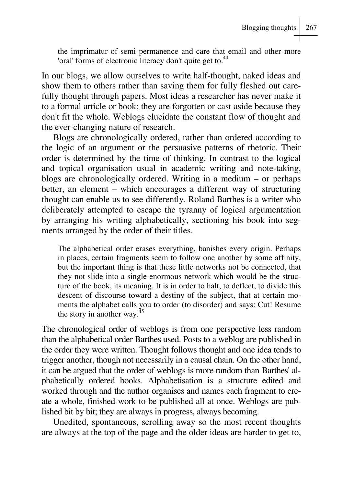the imprimatur of semi permanence and care that email and other more 'oral' forms of electronic literacy don't quite get to.<sup>44</sup>

In our blogs, we allow ourselves to write half-thought, naked ideas and show them to others rather than saving them for fully fleshed out carefully thought through papers. Most ideas a researcher has never make it to a formal article or book; they are forgotten or cast aside because they don't fit the whole. Weblogs elucidate the constant flow of thought and the ever-changing nature of research.

Blogs are chronologically ordered, rather than ordered according to the logic of an argument or the persuasive patterns of rhetoric. Their order is determined by the time of thinking. In contrast to the logical and topical organisation usual in academic writing and note-taking, blogs are chronologically ordered. Writing in a medium – or perhaps better, an element – which encourages a different way of structuring thought can enable us to see differently. Roland Barthes is a writer who deliberately attempted to escape the tyranny of logical argumentation by arranging his writing alphabetically, sectioning his book into segments arranged by the order of their titles.

The alphabetical order erases everything, banishes every origin. Perhaps in places, certain fragments seem to follow one another by some affinity, but the important thing is that these little networks not be connected, that they not slide into a single enormous network which would be the structure of the book, its meaning. It is in order to halt, to deflect, to divide this descent of discourse toward a destiny of the subject, that at certain moments the alphabet calls you to order (to disorder) and says: Cut! Resume the story in another way. $45$ 

The chronological order of weblogs is from one perspective less random than the alphabetical order Barthes used. Posts to a weblog are published in the order they were written. Thought follows thought and one idea tends to trigger another, though not necessarily in a causal chain. On the other hand, it can be argued that the order of weblogs is more random than Barthes' alphabetically ordered books. Alphabetisation is a structure edited and worked through and the author organises and names each fragment to create a whole, finished work to be published all at once. Weblogs are published bit by bit; they are always in progress, always becoming.

Unedited, spontaneous, scrolling away so the most recent thoughts are always at the top of the page and the older ideas are harder to get to,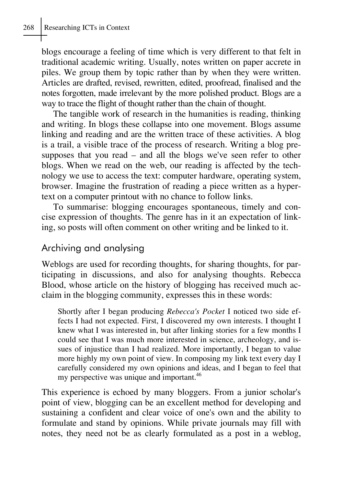blogs encourage a feeling of time which is very different to that felt in traditional academic writing. Usually, notes written on paper accrete in piles. We group them by topic rather than by when they were written. Articles are drafted, revised, rewritten, edited, proofread, finalised and the notes forgotten, made irrelevant by the more polished product. Blogs are a way to trace the flight of thought rather than the chain of thought.

The tangible work of research in the humanities is reading, thinking and writing. In blogs these collapse into one movement. Blogs assume linking and reading and are the written trace of these activities. A blog is a trail, a visible trace of the process of research. Writing a blog presupposes that you read – and all the blogs we've seen refer to other blogs. When we read on the web, our reading is affected by the technology we use to access the text: computer hardware, operating system, browser. Imagine the frustration of reading a piece written as a hypertext on a computer printout with no chance to follow links.

To summarise: blogging encourages spontaneous, timely and concise expression of thoughts. The genre has in it an expectation of linking, so posts will often comment on other writing and be linked to it.

## Archiving and analysing

Weblogs are used for recording thoughts, for sharing thoughts, for participating in discussions, and also for analysing thoughts. Rebecca Blood, whose article on the history of blogging has received much acclaim in the blogging community, expresses this in these words:

Shortly after I began producing *Rebecca's Pocket* I noticed two side effects I had not expected. First, I discovered my own interests. I thought I knew what I was interested in, but after linking stories for a few months I could see that I was much more interested in science, archeology, and issues of injustice than I had realized. More importantly, I began to value more highly my own point of view. In composing my link text every day I carefully considered my own opinions and ideas, and I began to feel that my perspective was unique and important.<sup>46</sup>

This experience is echoed by many bloggers. From a junior scholar's point of view, blogging can be an excellent method for developing and sustaining a confident and clear voice of one's own and the ability to formulate and stand by opinions. While private journals may fill with notes, they need not be as clearly formulated as a post in a weblog,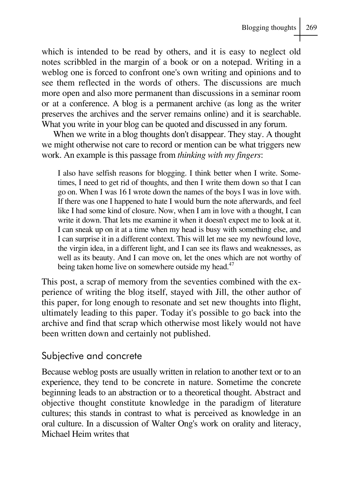which is intended to be read by others, and it is easy to neglect old notes scribbled in the margin of a book or on a notepad. Writing in a weblog one is forced to confront one's own writing and opinions and to see them reflected in the words of others. The discussions are much more open and also more permanent than discussions in a seminar room or at a conference. A blog is a permanent archive (as long as the writer preserves the archives and the server remains online) and it is searchable. What you write in your blog can be quoted and discussed in any forum.

When we write in a blog thoughts don't disappear. They stay. A thought we might otherwise not care to record or mention can be what triggers new work. An example is this passage from *thinking with my fingers*:

I also have selfish reasons for blogging. I think better when I write. Sometimes, I need to get rid of thoughts, and then I write them down so that I can go on. When I was 16 I wrote down the names of the boys I was in love with. If there was one I happened to hate I would burn the note afterwards, and feel like I had some kind of closure. Now, when I am in love with a thought, I can write it down. That lets me examine it when it doesn't expect me to look at it. I can sneak up on it at a time when my head is busy with something else, and I can surprise it in a different context. This will let me see my newfound love, the virgin idea, in a different light, and I can see its flaws and weaknesses, as well as its beauty. And I can move on, let the ones which are not worthy of being taken home live on somewhere outside my head.<sup>47</sup>

This post, a scrap of memory from the seventies combined with the experience of writing the blog itself, stayed with Jill, the other author of this paper, for long enough to resonate and set new thoughts into flight, ultimately leading to this paper. Today it's possible to go back into the archive and find that scrap which otherwise most likely would not have been written down and certainly not published.

#### Subjective and concrete

Because weblog posts are usually written in relation to another text or to an experience, they tend to be concrete in nature. Sometime the concrete beginning leads to an abstraction or to a theoretical thought. Abstract and objective thought constitute knowledge in the paradigm of literature cultures; this stands in contrast to what is perceived as knowledge in an oral culture. In a discussion of Walter Ong's work on orality and literacy, Michael Heim writes that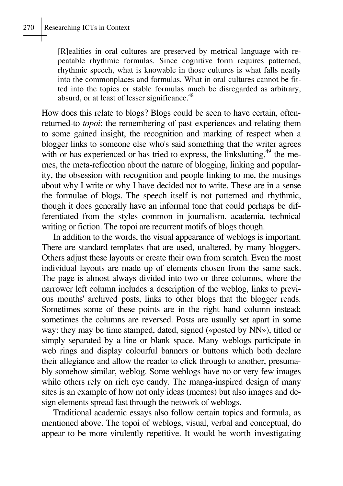[R]ealities in oral cultures are preserved by metrical language with repeatable rhythmic formulas. Since cognitive form requires patterned, rhythmic speech, what is knowable in those cultures is what falls neatly into the commonplaces and formulas. What in oral cultures cannot be fitted into the topics or stable formulas much be disregarded as arbitrary, absurd, or at least of lesser significance.<sup>48</sup>

How does this relate to blogs? Blogs could be seen to have certain, oftenreturned-to *topoi*: the remembering of past experiences and relating them to some gained insight, the recognition and marking of respect when a blogger links to someone else who's said something that the writer agrees with or has experienced or has tried to express, the linkslutting,<sup>49</sup> the memes, the meta-reflection about the nature of blogging, linking and popularity, the obsession with recognition and people linking to me, the musings about why I write or why I have decided not to write. These are in a sense the formulae of blogs. The speech itself is not patterned and rhythmic, though it does generally have an informal tone that could perhaps be differentiated from the styles common in journalism, academia, technical writing or fiction. The topoi are recurrent motifs of blogs though.

In addition to the words, the visual appearance of weblogs is important. There are standard templates that are used, unaltered, by many bloggers. Others adjust these layouts or create their own from scratch. Even the most individual layouts are made up of elements chosen from the same sack. The page is almost always divided into two or three columns, where the narrower left column includes a description of the weblog, links to previous months' archived posts, links to other blogs that the blogger reads. Sometimes some of these points are in the right hand column instead; sometimes the columns are reversed. Posts are usually set apart in some way: they may be time stamped, dated, signed («posted by NN»), titled or simply separated by a line or blank space. Many weblogs participate in web rings and display colourful banners or buttons which both declare their allegiance and allow the reader to click through to another, presumably somehow similar, weblog. Some weblogs have no or very few images while others rely on rich eye candy. The manga-inspired design of many sites is an example of how not only ideas (memes) but also images and design elements spread fast through the network of weblogs.

Traditional academic essays also follow certain topics and formula, as mentioned above. The topoi of weblogs, visual, verbal and conceptual, do appear to be more virulently repetitive. It would be worth investigating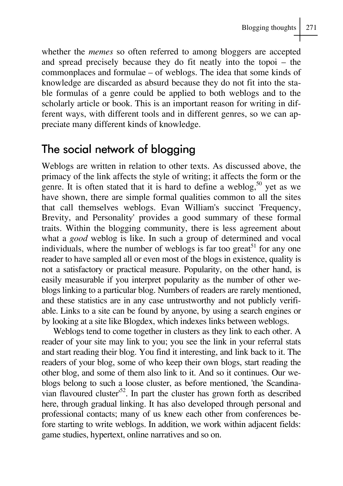whether the *memes* so often referred to among bloggers are accepted and spread precisely because they do fit neatly into the topoi – the commonplaces and formulae – of weblogs. The idea that some kinds of knowledge are discarded as absurd because they do not fit into the stable formulas of a genre could be applied to both weblogs and to the scholarly article or book. This is an important reason for writing in different ways, with different tools and in different genres, so we can appreciate many different kinds of knowledge.

# The social network of blogging

Weblogs are written in relation to other texts. As discussed above, the primacy of the link affects the style of writing; it affects the form or the genre. It is often stated that it is hard to define a weblog,  $50$  yet as we have shown, there are simple formal qualities common to all the sites that call themselves weblogs. Evan William's succinct 'Frequency, Brevity, and Personality' provides a good summary of these formal traits. Within the blogging community, there is less agreement about what a *good* weblog is like. In such a group of determined and vocal individuals, where the number of weblogs is far too great<sup>51</sup> for any one reader to have sampled all or even most of the blogs in existence, quality is not a satisfactory or practical measure. Popularity, on the other hand, is easily measurable if you interpret popularity as the number of other weblogs linking to a particular blog. Numbers of readers are rarely mentioned, and these statistics are in any case untrustworthy and not publicly verifiable. Links to a site can be found by anyone, by using a search engines or by looking at a site like Blogdex, which indexes links between weblogs.

Weblogs tend to come together in clusters as they link to each other. A reader of your site may link to you; you see the link in your referral stats and start reading their blog. You find it interesting, and link back to it. The readers of your blog, some of who keep their own blogs, start reading the other blog, and some of them also link to it. And so it continues. Our weblogs belong to such a loose cluster, as before mentioned, 'the Scandinavian flavoured cluster'52. In part the cluster has grown forth as described here, through gradual linking. It has also developed through personal and professional contacts; many of us knew each other from conferences before starting to write weblogs. In addition, we work within adjacent fields: game studies, hypertext, online narratives and so on.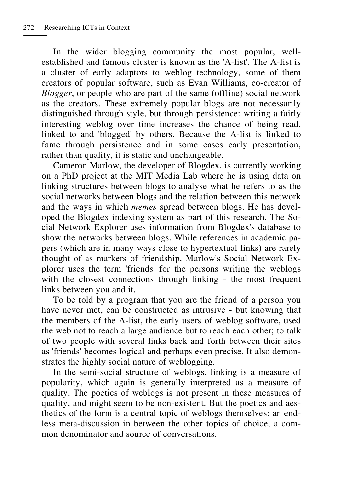In the wider blogging community the most popular, wellestablished and famous cluster is known as the 'A-list'. The A-list is a cluster of early adaptors to weblog technology, some of them creators of popular software, such as Evan Williams, co-creator of *Blogger*, or people who are part of the same (offline) social network as the creators. These extremely popular blogs are not necessarily distinguished through style, but through persistence: writing a fairly interesting weblog over time increases the chance of being read, linked to and 'blogged' by others. Because the A-list is linked to fame through persistence and in some cases early presentation, rather than quality, it is static and unchangeable.

Cameron Marlow, the developer of Blogdex, is currently working on a PhD project at the MIT Media Lab where he is using data on linking structures between blogs to analyse what he refers to as the social networks between blogs and the relation between this network and the ways in which *memes* spread between blogs. He has developed the Blogdex indexing system as part of this research. The Social Network Explorer uses information from Blogdex's database to show the networks between blogs. While references in academic papers (which are in many ways close to hypertextual links) are rarely thought of as markers of friendship, Marlow's Social Network Explorer uses the term 'friends' for the persons writing the weblogs with the closest connections through linking - the most frequent links between you and it.

To be told by a program that you are the friend of a person you have never met, can be constructed as intrusive - but knowing that the members of the A-list, the early users of weblog software, used the web not to reach a large audience but to reach each other; to talk of two people with several links back and forth between their sites as 'friends' becomes logical and perhaps even precise. It also demonstrates the highly social nature of weblogging.

In the semi-social structure of weblogs, linking is a measure of popularity, which again is generally interpreted as a measure of quality. The poetics of weblogs is not present in these measures of quality, and might seem to be non-existent. But the poetics and aesthetics of the form is a central topic of weblogs themselves: an endless meta-discussion in between the other topics of choice, a common denominator and source of conversations.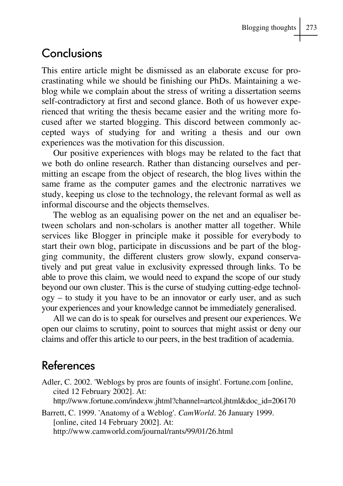# **Conclusions**

This entire article might be dismissed as an elaborate excuse for procrastinating while we should be finishing our PhDs. Maintaining a weblog while we complain about the stress of writing a dissertation seems self-contradictory at first and second glance. Both of us however experienced that writing the thesis became easier and the writing more focused after we started blogging. This discord between commonly accepted ways of studying for and writing a thesis and our own experiences was the motivation for this discussion.

Our positive experiences with blogs may be related to the fact that we both do online research. Rather than distancing ourselves and permitting an escape from the object of research, the blog lives within the same frame as the computer games and the electronic narratives we study, keeping us close to the technology, the relevant formal as well as informal discourse and the objects themselves.

The weblog as an equalising power on the net and an equaliser between scholars and non-scholars is another matter all together. While services like Blogger in principle make it possible for everybody to start their own blog, participate in discussions and be part of the blogging community, the different clusters grow slowly, expand conservatively and put great value in exclusivity expressed through links. To be able to prove this claim, we would need to expand the scope of our study beyond our own cluster. This is the curse of studying cutting-edge technology – to study it you have to be an innovator or early user, and as such your experiences and your knowledge cannot be immediately generalised.

All we can do is to speak for ourselves and present our experiences. We open our claims to scrutiny, point to sources that might assist or deny our claims and offer this article to our peers, in the best tradition of academia.

# References

Adler, C. 2002. 'Weblogs by pros are founts of insight'*.* Fortune.com [online, cited 12 February 2002]. At: http://www.fortune.com/indexw.jhtml?channel=artcol.jhtml&doc\_id=206170

Barrett, C. 1999. 'Anatomy of a Weblog'. *CamWorld*. 26 January 1999. [online, cited 14 February 2002]. At: http://www.camworld.com/journal/rants/99/01/26.html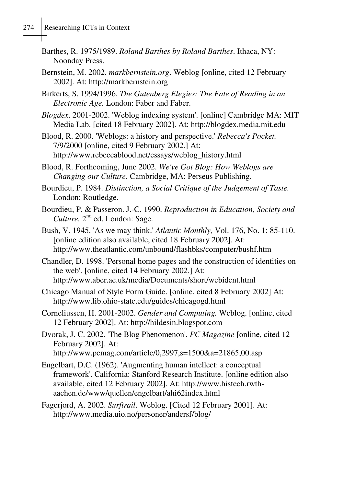- Barthes, R. 1975/1989. *Roland Barthes by Roland Barthes*. Ithaca, NY: Noonday Press.
- Bernstein, M. 2002. *markbernstein.org*. Weblog [online, cited 12 February 2002]. At: http://markbernstein.org
- Birkerts, S. 1994/1996. *The Gutenberg Elegies: The Fate of Reading in an Electronic Age.* London: Faber and Faber.
- *Blogdex*. 2001-2002. 'Weblog indexing system'. [online] Cambridge MA: MIT Media Lab. [cited 18 February 2002]. At: http://blogdex.media.mit.edu
- Blood, R. 2000. 'Weblogs: a history and perspective.' *Rebecca's Pocket.* 7/9/2000 [online, cited 9 February 2002.] At: http://www.rebeccablood.net/essays/weblog\_history.html
- Blood, R. Forthcoming, June 2002. *We've Got Blog: How Weblogs are Changing our Culture.* Cambridge, MA: Perseus Publishing.
- Bourdieu, P. 1984. *Distinction, a Social Critique of the Judgement of Taste.* London: Routledge.
- Bourdieu, P. & Passeron. J.-C. 1990. *Reproduction in Education, Society and* Culture. 2<sup>nd</sup> ed. London: Sage.
- Bush, V. 1945. 'As we may think.' *Atlantic Monthly,* Vol. 176, No. 1: 85-110. [online edition also available, cited 18 February 2002]. At: http://www.theatlantic.com/unbound/flashbks/computer/bushf.htm
- Chandler, D. 1998. 'Personal home pages and the construction of identities on the web'. [online, cited 14 February 2002.] At: http://www.aber.ac.uk/media/Documents/short/webident.html
- Chicago Manual of Style Form Guide. [online, cited 8 February 2002] At: http://www.lib.ohio-state.edu/guides/chicagogd.html
- Corneliussen, H. 2001-2002. *Gender and Computing.* Weblog. [online, cited 12 February 2002]. At: http://hildesin.blogspot.com
- Dvorak, J. C. 2002. 'The Blog Phenomenon'. *PC Magazine* [online, cited 12 February 2002]. At:
	- http://www.pcmag.com/article/0,2997,s=1500&a=21865,00.asp
- Engelbart, D.C. (1962). 'Augmenting human intellect: a conceptual framework'. California: Stanford Research Institute. [online edition also available, cited 12 February 2002]. At: http://www.histech.rwthaachen.de/www/quellen/engelbart/ahi62index.html
- Fagerjord, A. 2002. *Surftrail*. Weblog. [Cited 12 February 2001]. At: http://www.media.uio.no/personer/andersf/blog/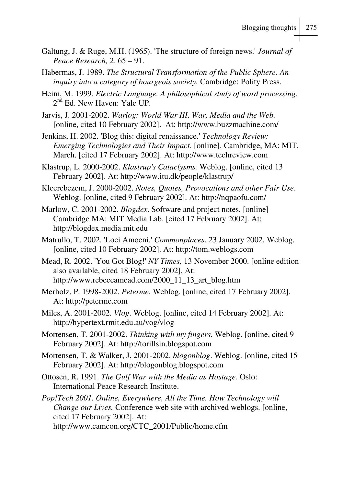- Galtung, J. & Ruge, M.H. (1965). 'The structure of foreign news.' *Journal of Peace Research,* 2. 65 – 91.
- Habermas, J. 1989. *The Structural Transformation of the Public Sphere. An inquiry into a category of bourgeois society.* Cambridge: Polity Press.
- Heim, M. 1999. *Electric Language. A philosophical study of word processing.*  $2<sup>nd</sup>$  Ed. New Haven: Yale UP.
- Jarvis, J. 2001-2002. *Warlog: World War III*. *War, Media and the Web.* [online, cited 10 February 2002]. At: http://www.buzzmachine.com/
- Jenkins, H. 2002. 'Blog this: digital renaissance.' *Technology Review: Emerging Technologies and Their Impact*. [online]. Cambridge, MA: MIT. March. [cited 17 February 2002]. At: http://www.techreview.com
- Klastrup, L. 2000-2002. *Klastrup's Cataclysms.* Weblog. [online, cited 13 February 2002]. At: http://www.itu.dk/people/klastrup/
- Kleerebezem, J. 2000-2002. *Notes, Quotes, Provocations and other Fair Use*. Weblog. [online, cited 9 February 2002]. At: http://nqpaofu.com/
- Marlow, C. 2001-2002. *Blogdex*. Software and project notes. [online] Cambridge MA: MIT Media Lab. [cited 17 February 2002]. At: http://blogdex.media.mit.edu
- Matrullo, T. 2002. 'Loci Amoeni.' *Commonplaces*, 23 January 2002. Weblog. [online, cited 10 February 2002]. At: http://tom.weblogs.com
- Mead, R. 2002. 'You Got Blog!' *NY Times,* 13 November 2000. [online edition also available, cited 18 February 2002]. At: http://www.rebeccamead.com/2000\_11\_13\_art\_blog.htm
- Merholz, P. 1998-2002. *Peterme*. Weblog. [online, cited 17 February 2002]. At: http://peterme.com
- Miles, A. 2001-2002. *Vlog*. Weblog. [online, cited 14 February 2002]. At: http://hypertext.rmit.edu.au/vog/vlog
- Mortensen, T. 2001-2002. *Thinking with my fingers.* Weblog. [online, cited 9 February 2002]. At: http://torillsin.blogspot.com
- Mortensen, T. & Walker, J. 2001-2002. *blogonblog*. Weblog. [online, cited 15 February 2002]. At: http://blogonblog.blogspot.com
- Ottosen, R. 1991. *The Gulf War with the Media as Hostage.* Oslo: International Peace Research Institute.
- *Pop!Tech 2001. Online, Everywhere, All the Time. How Technology will Change our Lives.* Conference web site with archived weblogs. [online, cited 17 February 2002]. At:
	- http://www.camcon.org/CTC\_2001/Public/home.cfm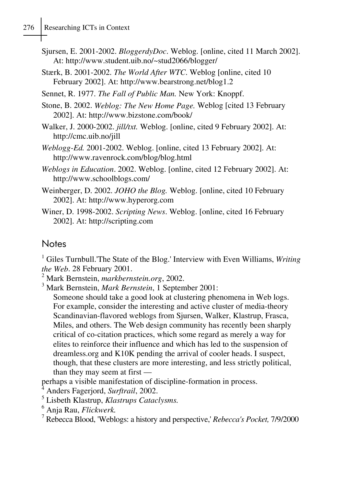## 276 Researching ICTs in Context

- Sjursen, E. 2001-2002. *BloggerdyDoc*. Weblog. [online, cited 11 March 2002]. At: http://www.student.uib.no/~stud2066/blogger/
- Stærk, B. 2001-2002. *The World After WTC*. Weblog [online, cited 10 February 2002]. At: http://www.bearstrong.net/blog1.2
- Sennet, R. 1977. *The Fall of Public Man.* New York: Knoppf.
- Stone, B. 2002. *Weblog: The New Home Page.* Weblog [cited 13 February 2002]. At: http://www.bizstone.com/book/
- Walker, J. 2000-2002. *jill/txt.* Weblog. [online, cited 9 February 2002]. At: http://cmc.uib.no/jill
- *Weblogg-Ed.* 2001-2002. Weblog. [online, cited 13 February 2002]. At: http://www.ravenrock.com/blog/blog.html
- *Weblogs in Education*. 2002. Weblog. [online, cited 12 February 2002]. At: http://www.schoolblogs.com/
- Weinberger, D. 2002. *JOHO the Blog.* Weblog. [online, cited 10 February 2002]. At: http://www.hyperorg.com
- Winer, D. 1998-2002. *Scripting News*. Weblog. [online, cited 16 February 2002]. At: http://scripting.com

#### **Notes**

<sup>1</sup> Giles Turnbull.'The State of the Blog.' Interview with Even Williams, *Writing* the Web. 28 February 2001.

Mark Bernstein, *markbernstein.org*, 2002. <sup>3</sup>

Mark Bernstein, *Mark Bernstein*, 1 September 2001:

Someone should take a good look at clustering phenomena in Web logs. For example, consider the interesting and active cluster of media-theory Scandinavian-flavored weblogs from Sjursen, Walker, Klastrup, Frasca, Miles, and others. The Web design community has recently been sharply critical of co-citation practices, which some regard as merely a way for elites to reinforce their influence and which has led to the suspension of dreamless.org and K10K pending the arrival of cooler heads. I suspect, though, that these clusters are more interesting, and less strictly political, than they may seem at first —

perhaps a visible manifestation of discipline-formation in process.

4 Anders Fagerjord, *Surftrail*, 2002.

- 5 Lisbeth Klastrup, *Klastrups Cataclysms.*
- <sup>6</sup> Anja Rau, *Flickwerk.*<br><sup>7</sup> Rebeces Blood Webl

Rebecca Blood, 'Weblogs: a history and perspective,' *Rebecca's Pocket,* 7/9/2000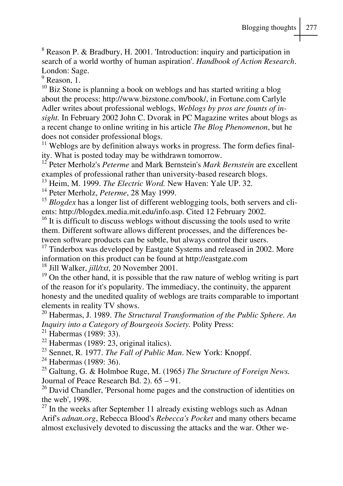$8$  Reason P. & Bradbury, H. 2001. 'Introduction: inquiry and participation in search of a world worthy of human aspiration'. *Handbook of Action Research*. London: Sage.

<sup>9</sup> Reason, 1.

 $10$  Biz Stone is planning a book on weblogs and has started writing a blog about the process: http://www.bizstone.com/book/, in Fortune.com Carlyle Adler writes about professional weblogs, *Weblogs by pros are founts of insight.* In February 2002 John C. Dvorak in PC Magazine writes about blogs as a recent change to online writing in his article *The Blog Phenomenon*, but he does not consider professional blogs.

 $11$  Weblogs are by definition always works in progress. The form defies finality. What is posted today may be withdrawn tomorrow.

12 Peter Merholz's *Peterme* and Mark Bernstein's *Mark Bernstein* are excellent examples of professional rather than university-based research blogs.

<sup>13</sup> Heim, M. 1999. *The Electric Word*. New Haven: Yale UP. 32.<br><sup>14</sup> Peter Merholz, *Peterme*, 28 May 1999.

<sup>15</sup> *Blogdex* has a longer list of different weblogging tools, both servers and clients: http://blogdex.media.mit.edu/info.asp. Cited 12 February 2002.

<sup>16</sup> It is difficult to discuss weblogs without discussing the tools used to write them. Different software allows different processes, and the differences between software products can be subtle, but always control their users.

<sup>17</sup> Tinderbox was developed by Eastgate Systems and released in 2002. More information on this product can be found at http://eastgate.com<br><sup>18</sup> Jill Walker, *iill/txt*, 20 November 2001.

<sup>19</sup> On the other hand, it is possible that the raw nature of weblog writing is part of the reason for it's popularity. The immediacy, the continuity, the apparent honesty and the unedited quality of weblogs are traits comparable to important elements in reality TV shows.

20 Habermas, J. 1989. *The Structural Transformation of the Public Sphere. An Inquiry into a Category of Bourgeois Society.* Polity Press: 21 Habermas (1989: 33).

 $22$  Habermas (1989: 23, original italics).

<sup>23</sup> Sennet, R. 1977. *The Fall of Public Man*. New York: Knoppf.<br><sup>24</sup> Habermas (1989: 36).

25 Galtung, G. & Holmboe Ruge, M. (1965*) The Structure of Foreign News.* Journal of Peace Research Bd. 2). 65 – 91.

<sup>26</sup> David Chandler, 'Personal home pages and the construction of identities on the web', 1998.

 $27$  In the weeks after September 11 already existing weblogs such as Adnan Arif's *adnan.org*, Rebecca Blood's *Rebecca's Pocket* and many others became almost exclusively devoted to discussing the attacks and the war. Other we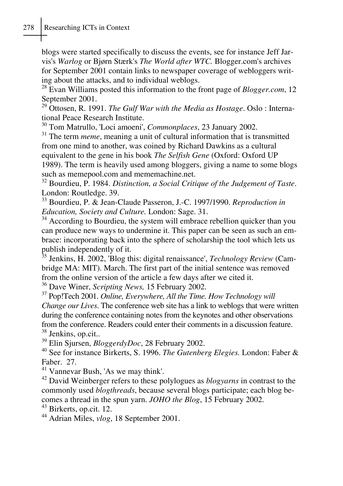blogs were started specifically to discuss the events, see for instance Jeff Jarvis's *Warlog* or Bjørn Stærk's *The World after WTC.* Blogger.com's archives for September 2001 contain links to newspaper coverage of webloggers writing about the attacks, and to individual weblogs.

28 Evan Williams posted this information to the front page of *Blogger.com*, 12 September 2001.

29 Ottosen, R. 1991. *The Gulf War with the Media as Hostage*. Oslo : International Peace Research Institute.<br><sup>30</sup> Tom Matrullo, 'Loci amoeni', *Commonplaces*, 23 January 2002.

<sup>31</sup> The term *meme*, meaning a unit of cultural information that is transmitted from one mind to another, was coined by Richard Dawkins as a cultural equivalent to the gene in his book *The Selfish Gene* (Oxford: Oxford UP 1989). The term is heavily used among bloggers, giving a name to some blogs such as memepool.com and mememachine.net.

32 Bourdieu, P. 1984. *Distinction, a Social Critique of the Judgement of Taste*. London: Routledge. 39.

33 Bourdieu, P. & Jean-Claude Passeron, J.-C. 1997/1990. *Reproduction in Education, Society and Culture.* London: Sage. 31. 34 According to Bourdieu, the system will embrace rebellion quicker than you

can produce new ways to undermine it. This paper can be seen as such an embrace: incorporating back into the sphere of scholarship the tool which lets us publish independently of it.

35 Jenkins, H. 2002, 'Blog this: digital renaissance', *Technology Review* (Cambridge MA: MIT). March. The first part of the initial sentence was removed from the online version of the article a few days after we cited it.<br><sup>36</sup> Dave Winer, *Scripting News*, 15 February 2002.

<sup>37</sup> Pop!Tech 2001. *Online, Everywhere, All the Time. How Technology will Change our Lives*. The conference web site has a link to weblogs that were written during the conference containing notes from the keynotes and other observations from the conference. Readers could enter their comments in a discussion feature. <sup>38</sup> Jenkins, op.cit..<br><sup>39</sup> Elin Sjursen, *BloggerdyDoc*, 28 February 2002.

<sup>40</sup> See for instance Birkerts, S. 1996. *The Gutenberg Elegies*. London: Faber & Faber. 27.

41 Vannevar Bush, 'As we may think'.

42 David Weinberger refers to these polylogues as *blogyarns* in contrast to the commonly used *blogthreads*, because several blogs participate; each blog becomes a thread in the spun yarn. *JOHO the Blog*, 15 February 2002. 43 Birkerts, op.cit. 12.

44 Adrian Miles, *vlog*, 18 September 2001.